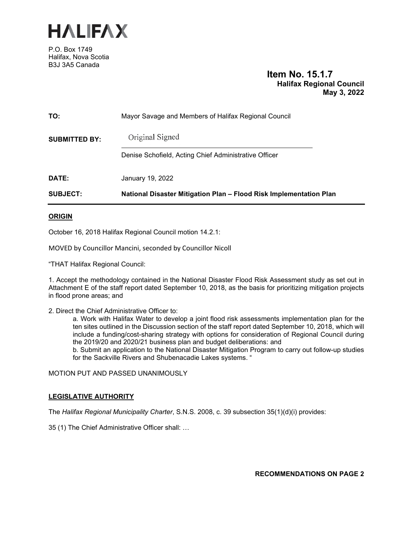

P.O. Box 1749 Halifax, Nova Scotia B3J 3A5 Canada

# **Item No. 15.1.7 Halifax Regional Council May 3, 2022**

| <b>SUBJECT:</b>      | National Disaster Mitigation Plan - Flood Risk Implementation Plan |  |  |
|----------------------|--------------------------------------------------------------------|--|--|
| DATE:                | January 19, 2022                                                   |  |  |
| <b>SUBMITTED BY:</b> | Denise Schofield, Acting Chief Administrative Officer              |  |  |
|                      | Original Signed                                                    |  |  |
| TO:                  | Mayor Savage and Members of Halifax Regional Council               |  |  |

### **ORIGIN**

October 16, 2018 Halifax Regional Council motion 14.2.1:

MOVED by Councillor Mancini, seconded by Councillor Nicoll

"THAT Halifax Regional Council:

1. Accept the methodology contained in the National Disaster Flood Risk Assessment study as set out in Attachment E of the staff report dated September 10, 2018, as the basis for prioritizing mitigation projects in flood prone areas; and

2. Direct the Chief Administrative Officer to:

a. Work with Halifax Water to develop a joint flood risk assessments implementation plan for the ten sites outlined in the Discussion section of the staff report dated September 10, 2018, which will include a funding/cost-sharing strategy with options for consideration of Regional Council during the 2019/20 and 2020/21 business plan and budget deliberations: and

b. Submit an application to the National Disaster Mitigation Program to carry out follow-up studies for the Sackville Rivers and Shubenacadie Lakes systems. "

MOTION PUT AND PASSED UNANIMOUSLY

# **LEGISLATIVE AUTHORITY**

The *Halifax Regional Municipality Charter*, S.N.S. 2008, c. 39 subsection 35(1)(d)(i) provides:

35 (1) The Chief Administrative Officer shall: …

**RECOMMENDATIONS ON PAGE 2**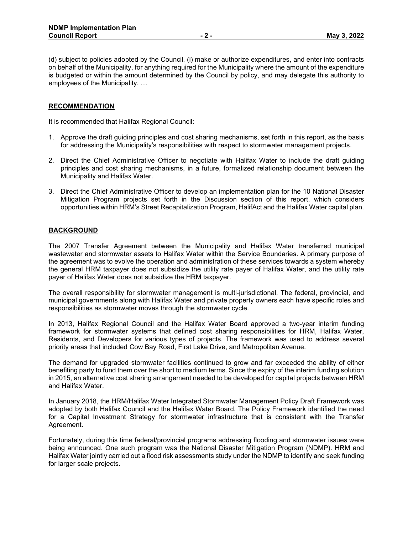(d) subject to policies adopted by the Council, (i) make or authorize expenditures, and enter into contracts on behalf of the Municipality, for anything required for the Municipality where the amount of the expenditure is budgeted or within the amount determined by the Council by policy, and may delegate this authority to employees of the Municipality, …

#### **RECOMMENDATION**

It is recommended that Halifax Regional Council:

- 1. Approve the draft guiding principles and cost sharing mechanisms, set forth in this report, as the basis for addressing the Municipality's responsibilities with respect to stormwater management projects.
- 2. Direct the Chief Administrative Officer to negotiate with Halifax Water to include the draft guiding principles and cost sharing mechanisms, in a future, formalized relationship document between the Municipality and Halifax Water.
- 3. Direct the Chief Administrative Officer to develop an implementation plan for the 10 National Disaster Mitigation Program projects set forth in the Discussion section of this report, which considers opportunities within HRM's Street Recapitalization Program, HalifAct and the Halifax Water capital plan.

### **BACKGROUND**

The 2007 Transfer Agreement between the Municipality and Halifax Water transferred municipal wastewater and stormwater assets to Halifax Water within the Service Boundaries. A primary purpose of the agreement was to evolve the operation and administration of these services towards a system whereby the general HRM taxpayer does not subsidize the utility rate payer of Halifax Water, and the utility rate payer of Halifax Water does not subsidize the HRM taxpayer.

The overall responsibility for stormwater management is multi-jurisdictional. The federal, provincial, and municipal governments along with Halifax Water and private property owners each have specific roles and responsibilities as stormwater moves through the stormwater cycle.

In 2013, Halifax Regional Council and the Halifax Water Board approved a two-year interim funding framework for stormwater systems that defined cost sharing responsibilities for HRM, Halifax Water, Residents, and Developers for various types of projects. The framework was used to address several priority areas that included Cow Bay Road, First Lake Drive, and Metropolitan Avenue.

The demand for upgraded stormwater facilities continued to grow and far exceeded the ability of either benefiting party to fund them over the short to medium terms. Since the expiry of the interim funding solution in 2015, an alternative cost sharing arrangement needed to be developed for capital projects between HRM and Halifax Water.

In January 2018, the HRM/Halifax Water Integrated Stormwater Management Policy Draft Framework was adopted by both Halifax Council and the Halifax Water Board. The Policy Framework identified the need for a Capital Investment Strategy for stormwater infrastructure that is consistent with the Transfer Agreement.

Fortunately, during this time federal/provincial programs addressing flooding and stormwater issues were being announced. One such program was the National Disaster Mitigation Program (NDMP). HRM and Halifax Water jointly carried out a flood risk assessments study under the NDMP to identify and seek funding for larger scale projects.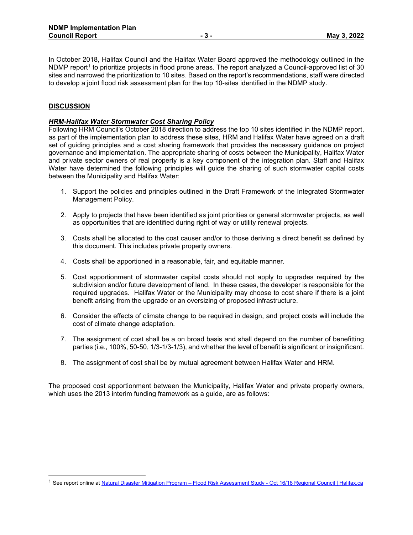In October 2018, Halifax Council and the Halifax Water Board approved the methodology outlined in the NDMP report<sup>[1](#page-2-0)</sup> to prioritize projects in flood prone areas. The report analyzed a Council-approved list of 30 sites and narrowed the prioritization to 10 sites. Based on the report's recommendations, staff were directed to develop a joint flood risk assessment plan for the top 10-sites identified in the NDMP study.

# **DISCUSSION**

#### *HRM-Halifax Water Stormwater Cost Sharing Policy*

Following HRM Council's October 2018 direction to address the top 10 sites identified in the NDMP report, as part of the implementation plan to address these sites, HRM and Halifax Water have agreed on a draft set of guiding principles and a cost sharing framework that provides the necessary guidance on project governance and implementation. The appropriate sharing of costs between the Municipality, Halifax Water and private sector owners of real property is a key component of the integration plan. Staff and Halifax Water have determined the following principles will guide the sharing of such stormwater capital costs between the Municipality and Halifax Water:

- 1. Support the policies and principles outlined in the Draft Framework of the Integrated Stormwater Management Policy.
- 2. Apply to projects that have been identified as joint priorities or general stormwater projects, as well as opportunities that are identified during right of way or utility renewal projects.
- 3. Costs shall be allocated to the cost causer and/or to those deriving a direct benefit as defined by this document. This includes private property owners.
- 4. Costs shall be apportioned in a reasonable, fair, and equitable manner.
- 5. Cost apportionment of stormwater capital costs should not apply to upgrades required by the subdivision and/or future development of land. In these cases, the developer is responsible for the required upgrades. Halifax Water or the Municipality may choose to cost share if there is a joint benefit arising from the upgrade or an oversizing of proposed infrastructure.
- 6. Consider the effects of climate change to be required in design, and project costs will include the cost of climate change adaptation.
- 7. The assignment of cost shall be a on broad basis and shall depend on the number of benefitting parties (i.e., 100%, 50-50, 1/3-1/3-1/3), and whether the level of benefit is significant or insignificant.
- 8. The assignment of cost shall be by mutual agreement between Halifax Water and HRM.

The proposed cost apportionment between the Municipality, Halifax Water and private property owners, which uses the 2013 interim funding framework as a guide, are as follows:

<span id="page-2-0"></span><sup>1</sup> See report online a[t Natural Disaster Mitigation Program – Flood Risk Assessment Study - Oct 16/18 Regional Council | Halifax.ca](https://cdn.halifax.ca/sites/default/files/documents/city-hall/regional-council/181016rc1421.pdf)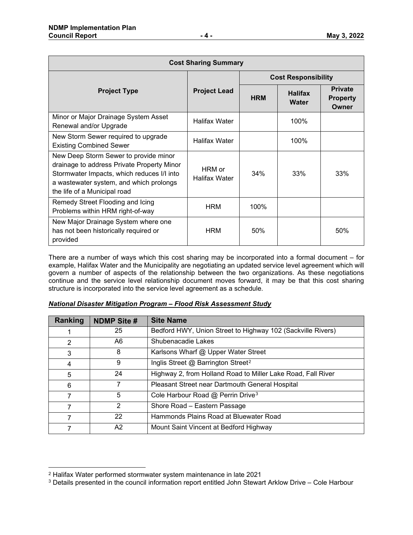| <b>Cost Sharing Summary</b>                                                                                                                                                                                  |                                |                            |                                |                                            |  |  |  |  |
|--------------------------------------------------------------------------------------------------------------------------------------------------------------------------------------------------------------|--------------------------------|----------------------------|--------------------------------|--------------------------------------------|--|--|--|--|
|                                                                                                                                                                                                              |                                | <b>Cost Responsibility</b> |                                |                                            |  |  |  |  |
| <b>Project Type</b>                                                                                                                                                                                          | <b>Project Lead</b>            | <b>HRM</b>                 | <b>Halifax</b><br><b>Water</b> | <b>Private</b><br><b>Property</b><br>Owner |  |  |  |  |
| Minor or Major Drainage System Asset<br>Renewal and/or Upgrade                                                                                                                                               | Halifax Water                  |                            | 100%                           |                                            |  |  |  |  |
| New Storm Sewer required to upgrade<br><b>Existing Combined Sewer</b>                                                                                                                                        | <b>Halifax Water</b>           |                            | 100%                           |                                            |  |  |  |  |
| New Deep Storm Sewer to provide minor<br>drainage to address Private Property Minor<br>Stormwater Impacts, which reduces I/I into<br>a wastewater system, and which prolongs<br>the life of a Municipal road | HRM or<br><b>Halifax Water</b> | 34%                        | 33%                            | 33%                                        |  |  |  |  |
| Remedy Street Flooding and Icing<br>Problems within HRM right-of-way                                                                                                                                         | <b>HRM</b>                     | 100%                       |                                |                                            |  |  |  |  |
| New Major Drainage System where one<br>has not been historically required or<br>provided                                                                                                                     | <b>HRM</b>                     | 50%                        |                                | 50%                                        |  |  |  |  |

There are a number of ways which this cost sharing may be incorporated into a formal document – for example, Halifax Water and the Municipality are negotiating an updated service level agreement which will govern a number of aspects of the relationship between the two organizations. As these negotiations continue and the service level relationship document moves forward, it may be that this cost sharing structure is incorporated into the service level agreement as a schedule.

| Ranking | <b>NDMP Site #</b> | <b>Site Name</b>                                             |
|---------|--------------------|--------------------------------------------------------------|
|         | 25                 | Bedford HWY, Union Street to Highway 102 (Sackville Rivers)  |
| 2       | A6                 | Shubenacadie Lakes                                           |
| 3       | 8                  | Karlsons Wharf @ Upper Water Street                          |
| 4       | 9                  | Inglis Street @ Barrington Street <sup>2</sup>               |
| 5       | 24                 | Highway 2, from Holland Road to Miller Lake Road, Fall River |
| 6       |                    | Pleasant Street near Dartmouth General Hospital              |
| 7       | 5                  | Cole Harbour Road @ Perrin Drive <sup>3</sup>                |
| 7       | 2                  | Shore Road – Eastern Passage                                 |
| 7       | 22                 | Hammonds Plains Road at Bluewater Road                       |
|         | A2                 | Mount Saint Vincent at Bedford Highway                       |

#### *National Disaster Mitigation Program – Flood Risk Assessment Study*

<span id="page-3-0"></span><sup>2</sup> Halifax Water performed stormwater system maintenance in late 2021

<span id="page-3-1"></span><sup>3</sup> Details presented in the council information report entitled John Stewart Arklow Drive – Cole Harbour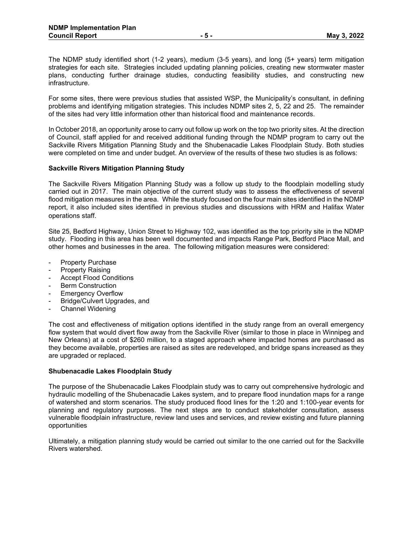The NDMP study identified short (1-2 years), medium (3-5 years), and long (5+ years) term mitigation strategies for each site. Strategies included updating planning policies, creating new stormwater master plans, conducting further drainage studies, conducting feasibility studies, and constructing new infrastructure.

For some sites, there were previous studies that assisted WSP, the Municipality's consultant, in defining problems and identifying mitigation strategies. This includes NDMP sites 2, 5, 22 and 25. The remainder of the sites had very little information other than historical flood and maintenance records.

In October 2018, an opportunity arose to carry out follow up work on the top two priority sites. At the direction of Council, staff applied for and received additional funding through the NDMP program to carry out the Sackville Rivers Mitigation Planning Study and the Shubenacadie Lakes Floodplain Study. Both studies were completed on time and under budget. An overview of the results of these two studies is as follows:

#### **Sackville Rivers Mitigation Planning Study**

The Sackville Rivers Mitigation Planning Study was a follow up study to the floodplain modelling study carried out in 2017. The main objective of the current study was to assess the effectiveness of several flood mitigation measures in the area. While the study focused on the four main sites identified in the NDMP report, it also included sites identified in previous studies and discussions with HRM and Halifax Water operations staff.

Site 25, Bedford Highway, Union Street to Highway 102, was identified as the top priority site in the NDMP study. Flooding in this area has been well documented and impacts Range Park, Bedford Place Mall, and other homes and businesses in the area. The following mitigation measures were considered:

- Property Purchase
- Property Raising
- Accept Flood Conditions
- Berm Construction
- **Emergency Overflow**
- Bridge/Culvert Upgrades, and
- Channel Widening

The cost and effectiveness of mitigation options identified in the study range from an overall emergency flow system that would divert flow away from the Sackville River (similar to those in place in Winnipeg and New Orleans) at a cost of \$260 million, to a staged approach where impacted homes are purchased as they become available, properties are raised as sites are redeveloped, and bridge spans increased as they are upgraded or replaced.

#### **Shubenacadie Lakes Floodplain Study**

The purpose of the Shubenacadie Lakes Floodplain study was to carry out comprehensive hydrologic and hydraulic modelling of the Shubenacadie Lakes system, and to prepare flood inundation maps for a range of watershed and storm scenarios. The study produced flood lines for the 1:20 and 1:100-year events for planning and regulatory purposes. The next steps are to conduct stakeholder consultation, assess vulnerable floodplain infrastructure, review land uses and services, and review existing and future planning opportunities

Ultimately, a mitigation planning study would be carried out similar to the one carried out for the Sackville Rivers watershed.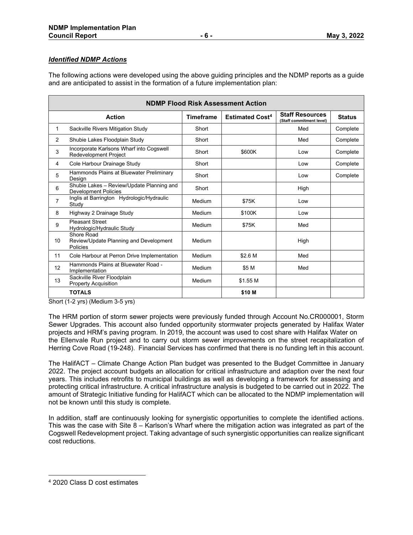# *Identified NDMP Actions*

The following actions were developed using the above guiding principles and the NDMP reports as a guide and are anticipated to assist in the formation of a future implementation plan:

| <b>NDMP Flood Risk Assessment Action</b> |                                                                          |                  |                                   |                                                    |               |  |  |  |
|------------------------------------------|--------------------------------------------------------------------------|------------------|-----------------------------------|----------------------------------------------------|---------------|--|--|--|
| <b>Action</b>                            |                                                                          | <b>Timeframe</b> | <b>Estimated Cost<sup>4</sup></b> | <b>Staff Resources</b><br>(Staff commitment level) | <b>Status</b> |  |  |  |
| 1                                        | Sackville Rivers Mitigation Study                                        | Short            |                                   | Med                                                | Complete      |  |  |  |
| $\overline{2}$                           | Shubie Lakes Floodplain Study                                            | Short            |                                   | Med                                                | Complete      |  |  |  |
| 3                                        | Incorporate Karlsons Wharf into Cogswell<br>Redevelopment Project        | Short            | \$600K                            | Low                                                | Complete      |  |  |  |
| 4                                        | Cole Harbour Drainage Study                                              | Short            |                                   | Low                                                | Complete      |  |  |  |
| 5                                        | Hammonds Plains at Bluewater Preliminary<br>Design                       | Short            |                                   | Low                                                | Complete      |  |  |  |
| 6                                        | Shubie Lakes - Review/Update Planning and<br><b>Development Policies</b> | Short            |                                   | High                                               |               |  |  |  |
| $\overline{7}$                           | Inglis at Barrington Hydrologic/Hydraulic<br>Study                       | Medium           | \$75K                             | Low                                                |               |  |  |  |
| 8                                        | Highway 2 Drainage Study                                                 | Medium           | \$100K                            | Low                                                |               |  |  |  |
| 9                                        | <b>Pleasant Street</b><br>Hydrologic/Hydraulic Study                     | Medium           | \$75K                             | Med                                                |               |  |  |  |
| 10                                       | Shore Road<br>Review/Update Planning and Development<br>Policies         | Medium           |                                   | High                                               |               |  |  |  |
| 11                                       | Cole Harbour at Perron Drive Implementation                              | Medium           | \$2.6 M                           | Med                                                |               |  |  |  |
| 12                                       | Hammonds Plains at Bluewater Road -<br>Implementation                    | Medium           | \$5 M                             | Med                                                |               |  |  |  |
| 13                                       | Sackville River Floodplain<br><b>Property Acquisition</b>                | Medium           | \$1.55 M                          |                                                    |               |  |  |  |
|                                          | <b>TOTALS</b>                                                            |                  | \$10 M                            |                                                    |               |  |  |  |

Short (1-2 yrs) (Medium 3-5 yrs)

The HRM portion of storm sewer projects were previously funded through Account No.CR000001, Storm Sewer Upgrades. This account also funded opportunity stormwater projects generated by Halifax Water projects and HRM's paving program. In 2019, the account was used to cost share with Halifax Water on the Ellenvale Run project and to carry out storm sewer improvements on the street recapitalization of Herring Cove Road (19-248). Financial Services has confirmed that there is no funding left in this account.

The HalifACT – Climate Change Action Plan budget was presented to the Budget Committee in January 2022. The project account budgets an allocation for critical infrastructure and adaption over the next four years. This includes retrofits to municipal buildings as well as developing a framework for assessing and protecting critical infrastructure. A critical infrastructure analysis is budgeted to be carried out in 2022. The amount of Strategic Initiative funding for HalifACT which can be allocated to the NDMP implementation will not be known until this study is complete.

In addition, staff are continuously looking for synergistic opportunities to complete the identified actions. This was the case with Site  $8 -$  Karlson's Wharf where the mitigation action was integrated as part of the Cogswell Redevelopment project. Taking advantage of such synergistic opportunities can realize significant cost reductions.

<span id="page-5-0"></span><sup>4</sup> 2020 Class D cost estimates